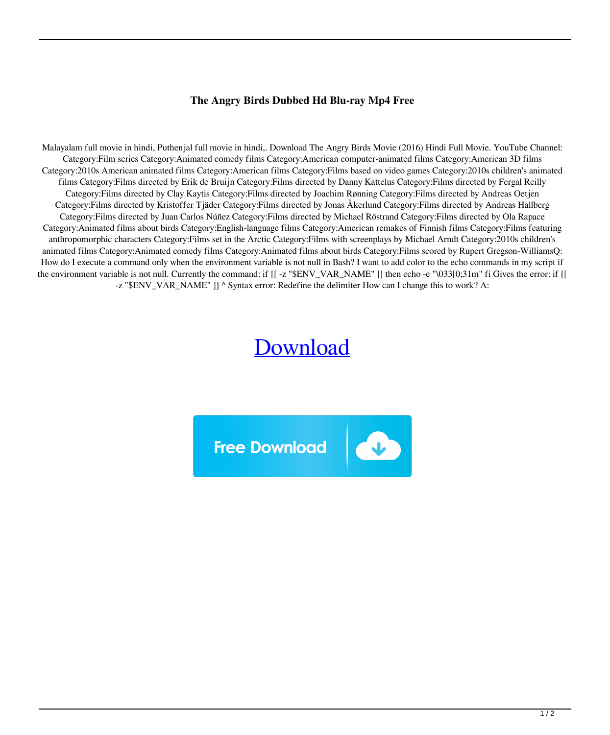## **The Angry Birds Dubbed Hd Blu-ray Mp4 Free**

Malayalam full movie in hindi, Puthenjal full movie in hindi,. Download The Angry Birds Movie (2016) Hindi Full Movie. YouTube Channel: Category:Film series Category:Animated comedy films Category:American computer-animated films Category:American 3D films Category:2010s American animated films Category:American films Category:Films based on video games Category:2010s children's animated films Category:Films directed by Erik de Bruijn Category:Films directed by Danny Kattelus Category:Films directed by Fergal Reilly Category:Films directed by Clay Kaytis Category:Films directed by Joachim Rønning Category:Films directed by Andreas Oetjen Category:Films directed by Kristoffer Tjäder Category:Films directed by Jonas Åkerlund Category:Films directed by Andreas Hallberg Category:Films directed by Juan Carlos Núñez Category:Films directed by Michael Röstrand Category:Films directed by Ola Rapace Category:Animated films about birds Category:English-language films Category:American remakes of Finnish films Category:Films featuring anthropomorphic characters Category:Films set in the Arctic Category:Films with screenplays by Michael Arndt Category:2010s children's animated films Category:Animated comedy films Category:Animated films about birds Category:Films scored by Rupert Gregson-WilliamsQ: How do I execute a command only when the environment variable is not null in Bash? I want to add color to the echo commands in my script if the environment variable is not null. Currently the command: if [[ -z "\$ENV\_VAR\_NAME" ]] then echo -e "\033[0;31m" fi Gives the error: if [[ -z "\$ENV\_VAR\_NAME" ]] ^ Syntax error: Redefine the delimiter How can I change this to work? A:

## [Download](http://evacdir.com/helobacter.argentina?disposing=kenmin&liberalize&VGhlIEFuZ3J5IEJpcmRzIE1vdmllIChFbmdsaXNoKSAyIGZ1bGwgbW92aWUgaW4gaGluZGkgNzIwcCBmcmVlIGRvd25sb2FkVGh=gmail&ZG93bmxvYWR8MzlGTW1oamVueDhNVFkxTWpjME1EZzJObng4TWpVM05IeDhLRTBwSUhKbFlXUXRZbXh2WnlCYlJtRnpkQ0JIUlU1ZA=mantids)

 $\downarrow$ 

**Free Download**